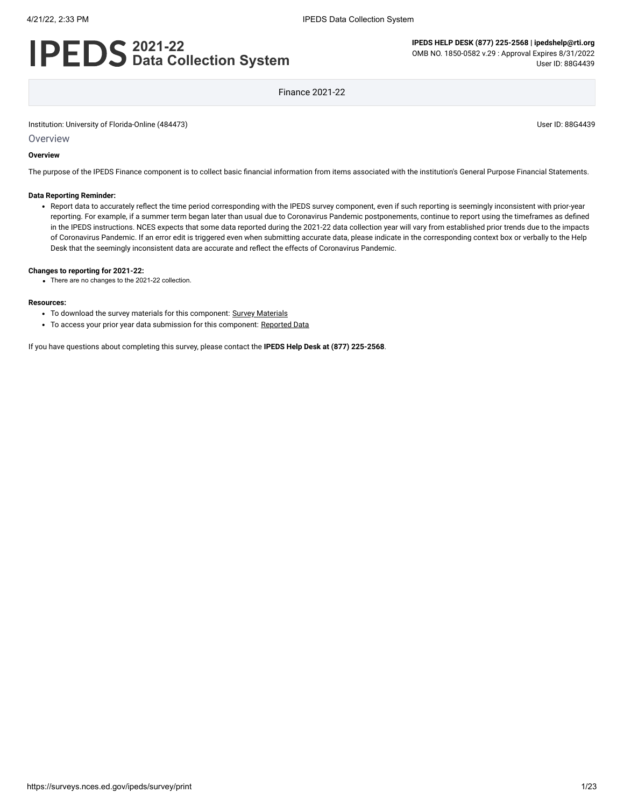# **2021-22 Data Collection System**

**IPEDS HELP DESK (877) 225-2568 | ipedshelp@rti.org** OMB NO. 1850-0582 v.29 : Approval Expires 8/31/2022 User ID: 88G4439

Finance 2021-22

Institution: University of Florida-Online (484473) User ID: 88G4439

**Overview** 

#### **Overview**

The purpose of the IPEDS Finance component is to collect basic financial information from items associated with the institution's General Purpose Financial Statements.

#### **Data Reporting Reminder:**

Report data to accurately reflect the time period corresponding with the IPEDS survey component, even if such reporting is seemingly inconsistent with prior-year reporting. For example, if a summer term began later than usual due to Coronavirus Pandemic postponements, continue to report using the timeframes as defined in the IPEDS instructions. NCES expects that some data reported during the 2021-22 data collection year will vary from established prior trends due to the impacts of Coronavirus Pandemic. If an error edit is triggered even when submitting accurate data, please indicate in the corresponding context box or verbally to the Help Desk that the seemingly inconsistent data are accurate and reflect the effects of Coronavirus Pandemic.

#### **Changes to reporting for 2021-22:**

There are no changes to the 2021-22 collection.

#### **Resources:**

- To download the survey materials for this component: Survey [Materials](https://surveys.nces.ed.gov/ipeds/public/survey-materials/index)
- To access your prior year data submission for this component: [Reported Data](javascript:openReportedData(484473, 5))

If you have questions about completing this survey, please contact the **IPEDS Help Desk at (877) 225-2568**.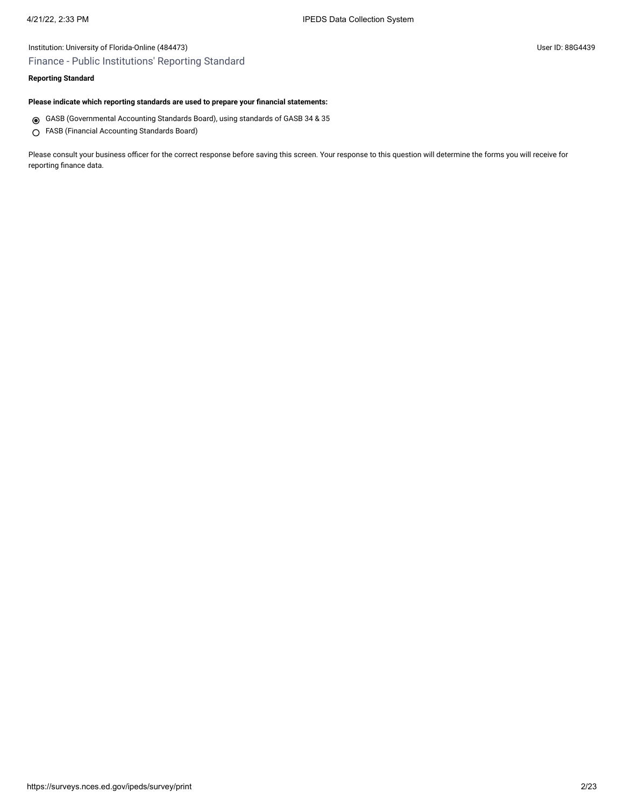# Institution: University of Florida-Online (484473) User ID: 88G4439 Finance - Public Institutions' Reporting Standard

# **Reporting Standard**

### **Please indicate which reporting standards are used to prepare your financial statements:**

- GASB (Governmental Accounting Standards Board), using standards of GASB 34 & 35
- FASB (Financial Accounting Standards Board)

Please consult your business officer for the correct response before saving this screen. Your response to this question will determine the forms you will receive for reporting finance data.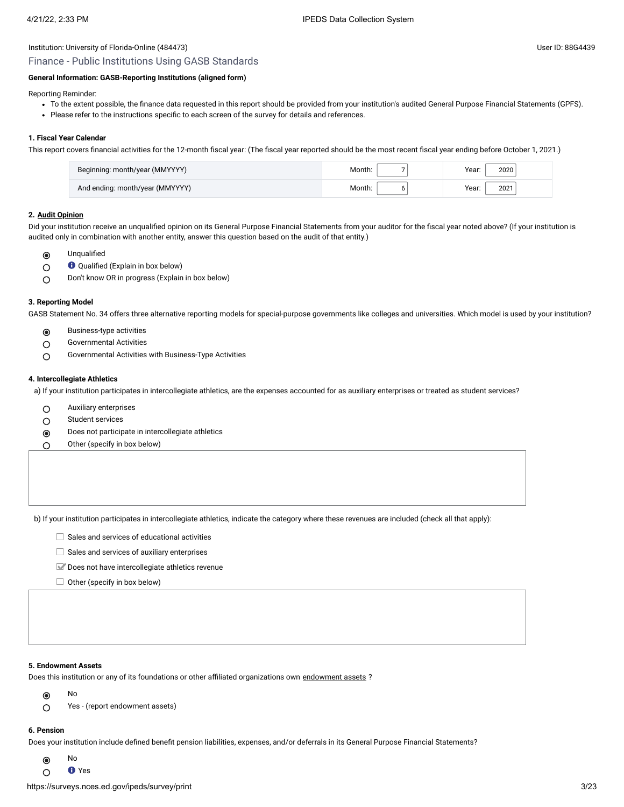# Institution: University of Florida-Online (484473) User ID: 88G4439 Finance - Public Institutions Using GASB Standards

#### **General Information: GASB-Reporting Institutions (aligned form)**

Reporting Reminder:

- To the extent possible, the finance data requested in this report should be provided from your institution's audited General Purpose Financial Statements (GPFS).
- Please refer to the instructions specific to each screen of the survey for details and references.

#### **1. Fiscal Year Calendar**

This report covers financial activities for the 12-month fiscal year: (The fiscal year reported should be the most recent fiscal year ending before October 1, 2021.)

| Beginning: month/year (MMYYYY)  | Month: | Year:<br>2020 |
|---------------------------------|--------|---------------|
| And ending: month/year (MMYYYY) | Month: | Year:<br>2021 |

#### **2. [Audit Opinion](javascript:openglossary(727))**

Did your institution receive an unqualified opinion on its General Purpose Financial Statements from your auditor for the fiscal year noted above? (If your institution is audited only in combination with another entity, answer this question based on the audit of that entity.)

- Unqualified  $\odot$
- Qualified (Explain in box below)  $\circ$
- Don't know OR in progress (Explain in box below)  $\bigcirc$

#### **3. Reporting Model**

GASB Statement No. 34 offers three alternative reporting models for special-purpose governments like colleges and universities. Which model is used by your institution?

- Business-type activities  $\odot$
- Governmental Activities  $\circ$
- Governmental Activities with Business-Type Activities  $\circ$

#### **4. Intercollegiate Athletics**

a) If your institution participates in intercollegiate athletics, are the expenses accounted for as auxiliary enterprises or treated as student services?

- $\circ$ Auxiliary enterprises
- Student services  $\circ$
- Does not participate in intercollegiate athletics  $\odot$
- Other (specify in box below) ∩

b) If your institution participates in intercollegiate athletics, indicate the category where these revenues are included (check all that apply):

- $\Box$  Sales and services of educational activities
- $\Box$  Sales and services of auxiliary enterprises
- Does not have intercollegiate athletics revenue
- $\Box$  Other (specify in box below)

#### **5. Endowment Assets**

Does this institution or any of its foundations or other affiliated organizations own [endowment](javascript:openglossary(197)) assets ?

- No  $\odot$
- Yes (report endowment assets)  $\circ$

## **6. Pension**

Does your institution include defined benefit pension liabilities, expenses, and/or deferrals in its General Purpose Financial Statements?

- No  $\odot$
- **O** Yes  $\bigcap$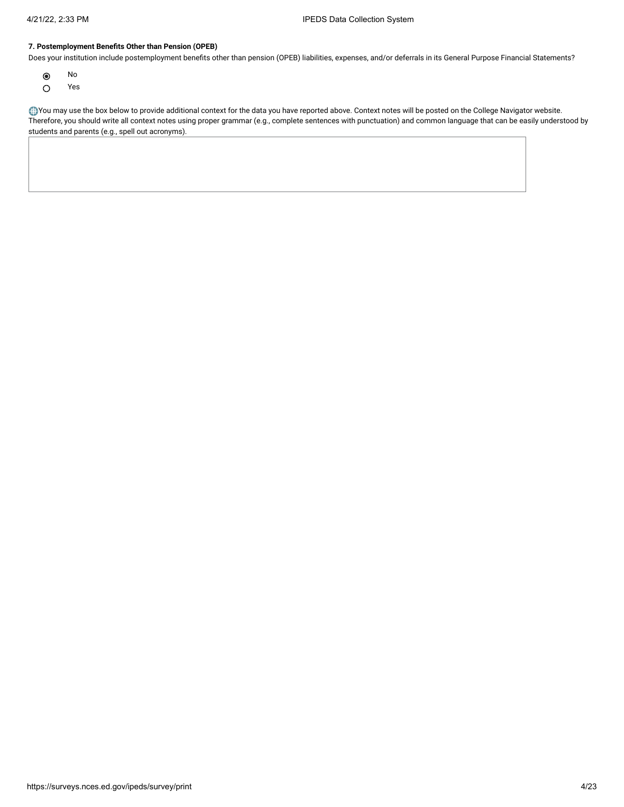### **7. Postemployment Benefits Other than Pension (OPEB)**

Does your institution include postemployment benefits other than pension (OPEB) liabilities, expenses, and/or deferrals in its General Purpose Financial Statements?

- $\odot$ No
- Yes  $\circ$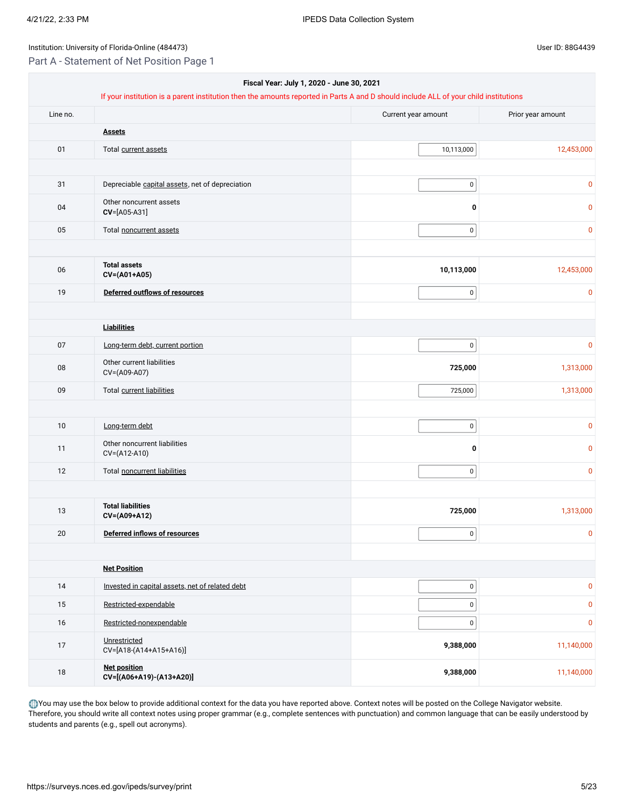Part A - Statement of Net Position Page 1

| Fiscal Year: July 1, 2020 - June 30, 2021<br>If your institution is a parent institution then the amounts reported in Parts A and D should include ALL of your child institutions |                                                 |                     |                   |
|-----------------------------------------------------------------------------------------------------------------------------------------------------------------------------------|-------------------------------------------------|---------------------|-------------------|
| Line no.                                                                                                                                                                          |                                                 | Current year amount | Prior year amount |
|                                                                                                                                                                                   | <b>Assets</b>                                   |                     |                   |
| 01                                                                                                                                                                                | Total current assets                            | 10,113,000          | 12,453,000        |
|                                                                                                                                                                                   |                                                 |                     |                   |
| 31                                                                                                                                                                                | Depreciable capital assets, net of depreciation | $\mathbf 0$         | 0                 |
| 04                                                                                                                                                                                | Other noncurrent assets<br>CV=[A05-A31]         | 0                   | 0                 |
| 05                                                                                                                                                                                | Total noncurrent assets                         | $\overline{0}$      | 0                 |
| 06                                                                                                                                                                                | <b>Total assets</b><br>CV=(A01+A05)             | 10,113,000          | 12,453,000        |
| 19                                                                                                                                                                                | Deferred outflows of resources                  | $\pmb{0}$           | 0                 |
|                                                                                                                                                                                   |                                                 |                     |                   |
|                                                                                                                                                                                   | <b>Liabilities</b>                              |                     |                   |
| $07\,$                                                                                                                                                                            | Long-term debt, current portion                 | $\overline{0}$      | $\pmb{0}$         |
| 08                                                                                                                                                                                | Other current liabilities<br>CV=(A09-A07)       | 725,000             | 1,313,000         |
| 09                                                                                                                                                                                | Total current liabilities                       | 725,000             | 1,313,000         |
|                                                                                                                                                                                   |                                                 |                     |                   |
| 10                                                                                                                                                                                | Long-term debt                                  | $\pmb{0}$           | 0                 |
| 11                                                                                                                                                                                | Other noncurrent liabilities<br>CV=(A12-A10)    | 0                   | 0                 |
| 12                                                                                                                                                                                | Total noncurrent liabilities                    | $\overline{0}$      | 0                 |
|                                                                                                                                                                                   |                                                 |                     |                   |
| 13                                                                                                                                                                                | <b>Total liabilities</b><br>CV=(A09+A12)        | 725,000             | 1,313,000         |
| 20                                                                                                                                                                                | Deferred inflows of resources                   | $\overline{0}$      | $\pmb{0}$         |
|                                                                                                                                                                                   |                                                 |                     |                   |
|                                                                                                                                                                                   | <b>Net Position</b>                             |                     |                   |
| 14                                                                                                                                                                                | Invested in capital assets, net of related debt | $\mathbf{0}$        | $\pmb{0}$         |
| 15                                                                                                                                                                                | Restricted-expendable                           | $\pmb{0}$           | $\pmb{0}$         |
| 16                                                                                                                                                                                | Restricted-nonexpendable                        | $\pmb{0}$           | $\pmb{0}$         |
| $17\,$                                                                                                                                                                            | Unrestricted<br>CV=[A18-(A14+A15+A16)]          | 9,388,000           | 11,140,000        |
| $18\,$                                                                                                                                                                            | <b>Net position</b><br>CV=[(A06+A19)-(A13+A20)] | 9,388,000           | 11,140,000        |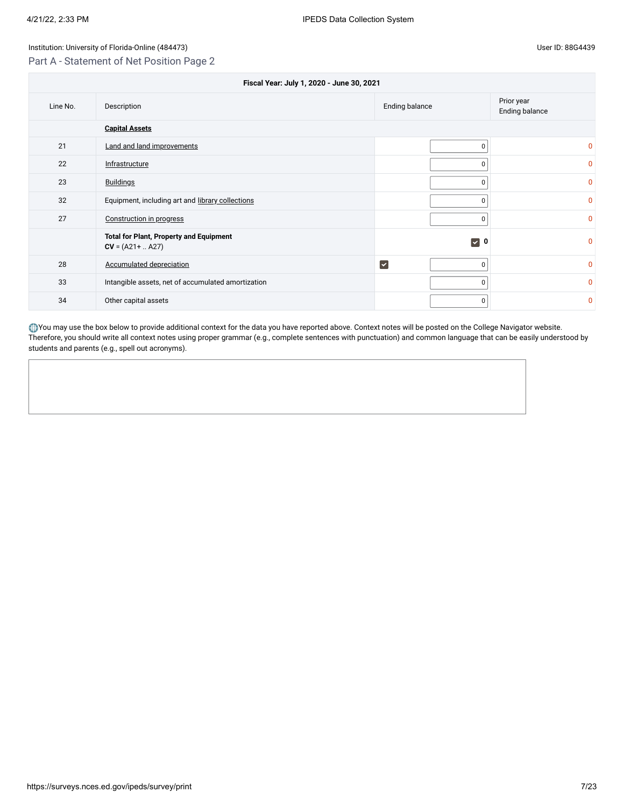Part A - Statement of Net Position Page 2

| Fiscal Year: July 1, 2020 - June 30, 2021 |                                                                       |                              |              |  |  |  |  |  |
|-------------------------------------------|-----------------------------------------------------------------------|------------------------------|--------------|--|--|--|--|--|
| Line No.                                  | Prior year<br>Ending balance<br>Description<br>Ending balance         |                              |              |  |  |  |  |  |
|                                           | <b>Capital Assets</b>                                                 |                              |              |  |  |  |  |  |
| 21                                        | Land and land improvements                                            | 0                            | 0            |  |  |  |  |  |
| 22                                        | Infrastructure                                                        | 0                            | 0            |  |  |  |  |  |
| 23                                        | <b>Buildings</b>                                                      | 0                            | 0            |  |  |  |  |  |
| 32                                        | Equipment, including art and library collections                      | 0                            | 0            |  |  |  |  |  |
| 27                                        | Construction in progress                                              | $\mathbf{0}$                 | $\mathbf{0}$ |  |  |  |  |  |
|                                           | <b>Total for Plant, Property and Equipment</b><br>$CV = (A21 +  A27)$ | $\triangledown$ 0            | n            |  |  |  |  |  |
| 28                                        | Accumulated depreciation                                              | $\overline{\mathbf{v}}$<br>0 | <sup>0</sup> |  |  |  |  |  |
| 33                                        | Intangible assets, net of accumulated amortization                    | 0                            | <sup>0</sup> |  |  |  |  |  |
| 34                                        | Other capital assets                                                  | 0                            | 0            |  |  |  |  |  |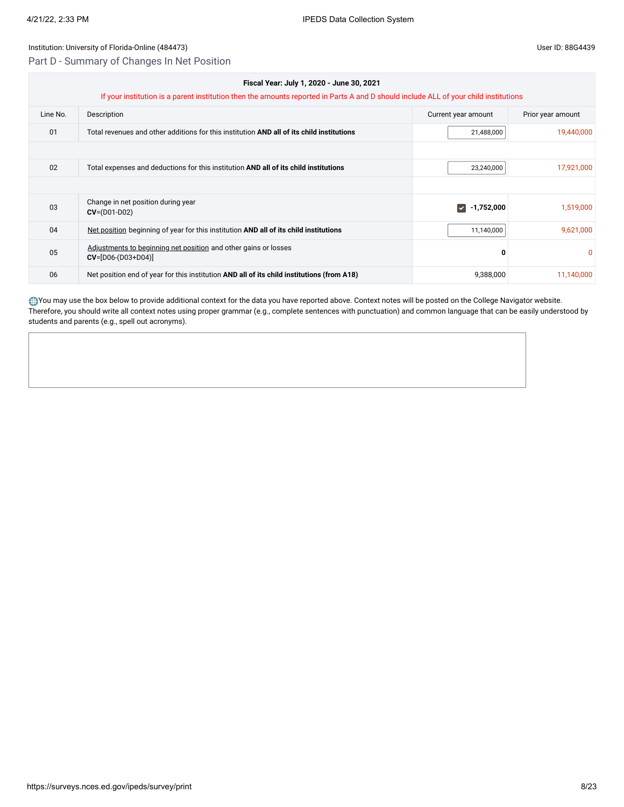Part D - Summary of Changes In Net Position

| Fiscal Year: July 1, 2020 - June 30, 2021<br>If your institution is a parent institution then the amounts reported in Parts A and D should include ALL of your child institutions |                                                                                            |                                    |                   |  |
|-----------------------------------------------------------------------------------------------------------------------------------------------------------------------------------|--------------------------------------------------------------------------------------------|------------------------------------|-------------------|--|
| Line No.                                                                                                                                                                          | Description                                                                                | Current year amount                | Prior year amount |  |
| 01                                                                                                                                                                                | Total revenues and other additions for this institution AND all of its child institutions  | 21,488,000                         | 19,440,000        |  |
|                                                                                                                                                                                   |                                                                                            |                                    |                   |  |
| 02                                                                                                                                                                                | Total expenses and deductions for this institution AND all of its child institutions       | 23,240,000                         | 17,921,000        |  |
|                                                                                                                                                                                   |                                                                                            |                                    |                   |  |
| 03                                                                                                                                                                                | Change in net position during year<br>$CV = (D01-D02)$                                     | -1,752,000<br>$\blacktriangledown$ | 1,519,000         |  |
| 04                                                                                                                                                                                | Net position beginning of year for this institution AND all of its child institutions      | 11,140,000                         | 9,621,000         |  |
| 05                                                                                                                                                                                | Adjustments to beginning net position and other gains or losses<br>$CV=[D06-(D03+D04)]$    | 0                                  | $\Omega$          |  |
| 06                                                                                                                                                                                | Net position end of year for this institution AND all of its child institutions (from A18) | 9,388,000                          | 11,140,000        |  |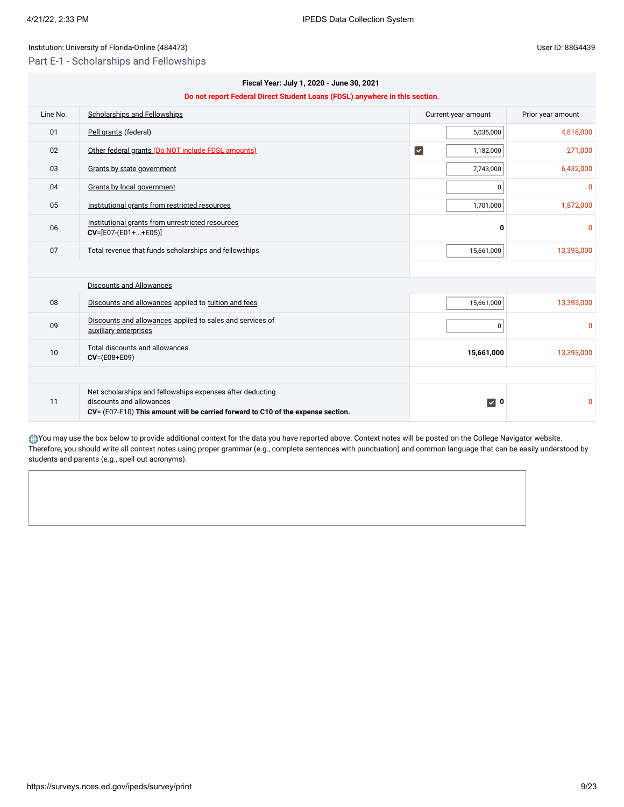11

Net scholarships and fellowships expenses after deducting

**CV**= (E07-E10) **This amount will be carried forward to C10 of the expense section.**

discounts and allowances

### Institution: University of Florida-Online (484473) User ID: 88G4439

Part E-1 - Scholarships and Fellowships

|          | Fiscal Year: July 1, 2020 - June 30, 2021<br>Do not report Federal Direct Student Loans (FDSL) anywhere in this section. |                                     |                   |  |  |
|----------|--------------------------------------------------------------------------------------------------------------------------|-------------------------------------|-------------------|--|--|
| Line No. | <b>Scholarships and Fellowships</b>                                                                                      | Current year amount                 | Prior year amount |  |  |
| 01       | Pell grants (federal)                                                                                                    | 5,035,000                           | 4,818,000         |  |  |
| 02       | Other federal grants (Do NOT include FDSL amounts)                                                                       | $\vert\mathbf{v}\vert$<br>1,182,000 | 271,000           |  |  |
| 03       | Grants by state government                                                                                               | 7,743,000                           | 6,432,000         |  |  |
| 04       | Grants by local government                                                                                               | $\mathbf 0$                         | $\mathbf{0}$      |  |  |
| 05       | Institutional grants from restricted resources                                                                           | 1,701,000                           | 1,872,000         |  |  |
| 06       | Institutional grants from unrestricted resources<br>$CV=[E07-(E01++E05)]$                                                | 0                                   | $\mathbf{0}$      |  |  |
| 07       | Total revenue that funds scholarships and fellowships                                                                    | 15,661,000                          | 13,393,000        |  |  |
|          |                                                                                                                          |                                     |                   |  |  |
|          | <b>Discounts and Allowances</b>                                                                                          |                                     |                   |  |  |
| 08       | Discounts and allowances applied to tuition and fees                                                                     | 15,661,000                          | 13,393,000        |  |  |
| 09       | Discounts and allowances applied to sales and services of<br>auxiliary enterprises                                       | $\boldsymbol{0}$                    | $\Omega$          |  |  |
| 10       | <b>Total discounts and allowances</b><br>$CV = (E08 + E09)$                                                              | 15,661,000                          | 13,393,000        |  |  |

You may use the box below to provide additional context for the data you have reported above. Context notes will be posted on the College Navigator website. Therefore, you should write all context notes using proper grammar (e.g., complete sentences with punctuation) and common language that can be easily understood by students and parents (e.g., spell out acronyms).

**0** 0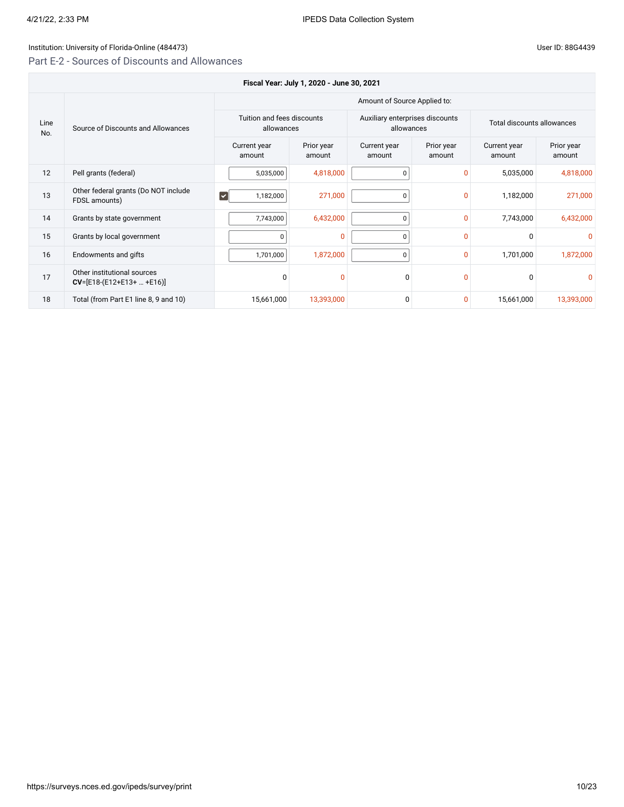# Institution: University of Florida-Online (484473)

# Part E-2 - Sources of Discounts and Allowances

| User ID: 88G4439 |  |  |
|------------------|--|--|
|                  |  |  |

|             | Fiscal Year: July 1, 2020 - June 30, 2021                  |                                          |                      |                                               |                      |                            |                      |  |
|-------------|------------------------------------------------------------|------------------------------------------|----------------------|-----------------------------------------------|----------------------|----------------------------|----------------------|--|
|             |                                                            | Amount of Source Applied to:             |                      |                                               |                      |                            |                      |  |
| Line<br>No. | Source of Discounts and Allowances                         | Tuition and fees discounts<br>allowances |                      | Auxiliary enterprises discounts<br>allowances |                      | Total discounts allowances |                      |  |
|             |                                                            | Current year<br>amount                   | Prior year<br>amount | Current year<br>amount                        | Prior year<br>amount | Current year<br>amount     | Prior year<br>amount |  |
| 12          | Pell grants (federal)                                      | 5,035,000                                | 4,818,000            | 0                                             | $\Omega$             | 5,035,000                  | 4,818,000            |  |
| 13          | Other federal grants (Do NOT include<br>FDSL amounts)      | $\blacktriangledown$<br>1,182,000        | 271,000              | $\Omega$                                      | $\Omega$             | 1,182,000                  | 271,000              |  |
| 14          | Grants by state government                                 | 7,743,000                                | 6,432,000            | $\Omega$                                      | $\mathbf{0}$         | 7,743,000                  | 6,432,000            |  |
| 15          | Grants by local government                                 | $\Omega$                                 | $\Omega$             | $\Omega$                                      | $\Omega$             | $\mathbf 0$                | O                    |  |
| 16          | Endowments and gifts                                       | 1,701,000                                | 1,872,000            | $\mathbf{0}$                                  | $\mathbf{0}$         | 1,701,000                  | 1,872,000            |  |
| 17          | Other institutional sources<br>$CV=[E18-(E12+E13+  +E16)]$ | $\Omega$                                 | $\Omega$             | 0                                             | $\Omega$             | $\mathbf 0$                |                      |  |
| 18          | Total (from Part E1 line 8, 9 and 10)                      | 15,661,000                               | 13,393,000           | 0                                             | $\Omega$             | 15,661,000                 | 13,393,000           |  |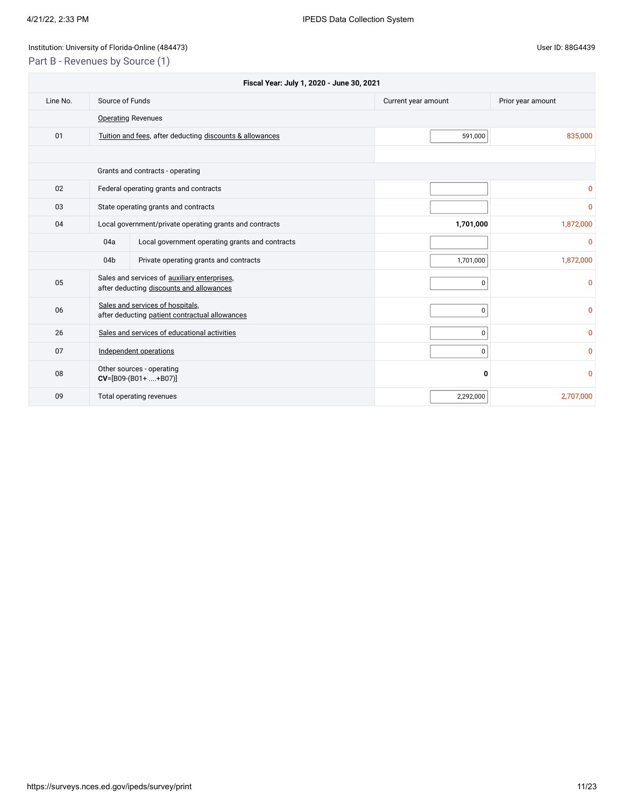# Institution: University of Florida-Online (484473) Channel Assembly 10 and 2011 11: 88G4439

Part B - Revenues by Source (1)

| Fiscal Year: July 1, 2020 - June 30, 2021 |                                                         |                                                                                          |                     |                   |
|-------------------------------------------|---------------------------------------------------------|------------------------------------------------------------------------------------------|---------------------|-------------------|
| Line No.                                  | Source of Funds                                         |                                                                                          | Current year amount | Prior year amount |
|                                           |                                                         | <b>Operating Revenues</b>                                                                |                     |                   |
| 01                                        |                                                         | Tuition and fees, after deducting discounts & allowances                                 | 591,000             | 835,000           |
|                                           |                                                         |                                                                                          |                     |                   |
|                                           |                                                         | Grants and contracts - operating                                                         |                     |                   |
| 02                                        |                                                         | Federal operating grants and contracts                                                   |                     | 0                 |
| 03                                        |                                                         | State operating grants and contracts                                                     |                     | 0                 |
| 04                                        | Local government/private operating grants and contracts |                                                                                          | 1,701,000           | 1,872,000         |
|                                           | 04a                                                     | Local government operating grants and contracts                                          |                     | $\mathbf 0$       |
|                                           | 04 <sub>b</sub>                                         | Private operating grants and contracts                                                   | 1,701,000           | 1,872,000         |
| 05                                        |                                                         | Sales and services of auxiliary enterprises,<br>after deducting discounts and allowances | 0                   | $\mathbf 0$       |
| 06                                        |                                                         | Sales and services of hospitals,<br>after deducting patient contractual allowances       | 0                   | 0                 |
| 26                                        |                                                         | Sales and services of educational activities                                             | 0                   | $\mathbf{0}$      |
| 07                                        |                                                         | Independent operations                                                                   | 0                   | $\mathbf{0}$      |
| 08                                        |                                                         | Other sources - operating<br>$CV=[B09-(B01++B07)]$                                       | 0                   | 0                 |
| 09                                        |                                                         | Total operating revenues                                                                 | 2,292,000           | 2,707,000         |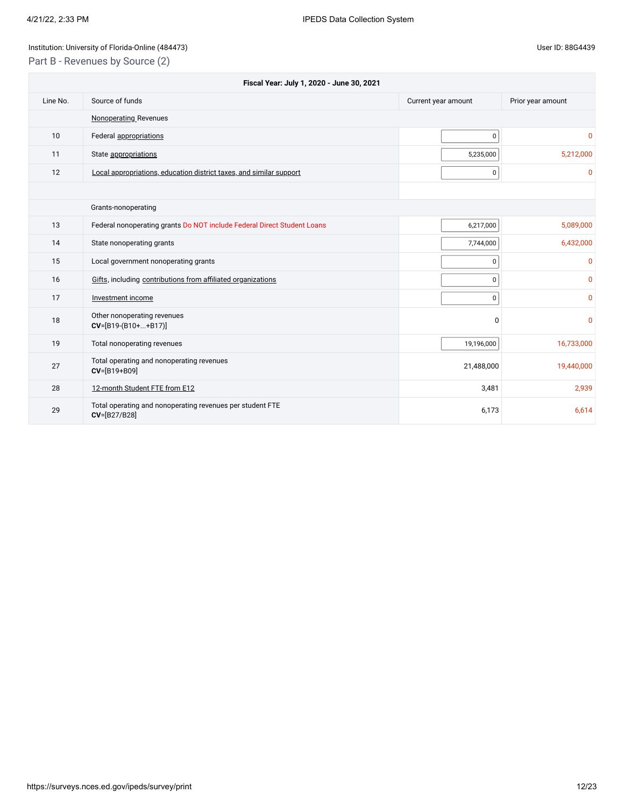# Institution: University of Florida-Online (484473) Channel Assembly 10 and 2011 11: 88G4439

Part B - Revenues by Source (2)

|          | Fiscal Year: July 1, 2020 - June 30, 2021                                 |                     |                   |  |  |
|----------|---------------------------------------------------------------------------|---------------------|-------------------|--|--|
| Line No. | Source of funds                                                           | Current year amount | Prior year amount |  |  |
|          | <b>Nonoperating Revenues</b>                                              |                     |                   |  |  |
| 10       | Federal appropriations                                                    | $\mathbf 0$         | 0                 |  |  |
| 11       | State appropriations                                                      | 5,235,000           | 5,212,000         |  |  |
| 12       | Local appropriations, education district taxes, and similar support       | 0                   | 0                 |  |  |
|          |                                                                           |                     |                   |  |  |
|          | Grants-nonoperating                                                       |                     |                   |  |  |
| 13       | Federal nonoperating grants Do NOT include Federal Direct Student Loans   | 6,217,000           | 5,089,000         |  |  |
| 14       | State nonoperating grants                                                 | 7,744,000           | 6,432,000         |  |  |
| 15       | Local government nonoperating grants                                      | $\mathbf 0$         | 0                 |  |  |
| 16       | Gifts, including contributions from affiliated organizations              | $\mathbf 0$         | 0                 |  |  |
| 17       | Investment income                                                         | $\pmb{0}$           | 0                 |  |  |
| 18       | Other nonoperating revenues<br>$CV=[B19-(B10++B17)]$                      | $\Omega$            | 0                 |  |  |
| 19       | Total nonoperating revenues                                               | 19,196,000          | 16,733,000        |  |  |
| 27       | Total operating and nonoperating revenues<br>CV=[B19+B09]                 | 21,488,000          | 19,440,000        |  |  |
| 28       | 12-month Student FTE from E12                                             | 3,481               | 2,939             |  |  |
| 29       | Total operating and nonoperating revenues per student FTE<br>CV=[B27/B28] | 6,173               | 6,614             |  |  |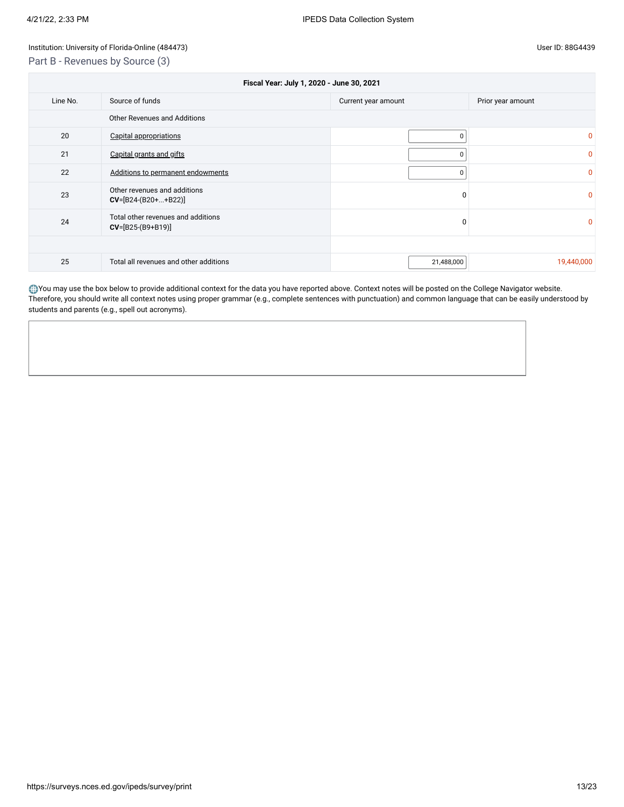Part B - Revenues by Source (3)

| Fiscal Year: July 1, 2020 - June 30, 2021 |                                                             |             |              |  |  |  |  |
|-------------------------------------------|-------------------------------------------------------------|-------------|--------------|--|--|--|--|
| Line No.                                  | Source of funds<br>Current year amount<br>Prior year amount |             |              |  |  |  |  |
|                                           | Other Revenues and Additions                                |             |              |  |  |  |  |
| 20                                        | Capital appropriations                                      | $\Omega$    | $\mathbf{0}$ |  |  |  |  |
| 21                                        | Capital grants and gifts                                    | 0           | $\mathbf{0}$ |  |  |  |  |
| 22                                        | Additions to permanent endowments                           | $\mathbf 0$ | $\mathbf{0}$ |  |  |  |  |
| 23                                        | Other revenues and additions<br>$CV=[B24-(B20++B22)]$       | 0           | $\mathbf{0}$ |  |  |  |  |
| 24                                        | Total other revenues and additions<br>$CV=[B25-(B9+B19)]$   | $\Omega$    | $\mathbf{0}$ |  |  |  |  |
|                                           |                                                             |             |              |  |  |  |  |
| 25                                        | Total all revenues and other additions                      | 21,488,000  | 19,440,000   |  |  |  |  |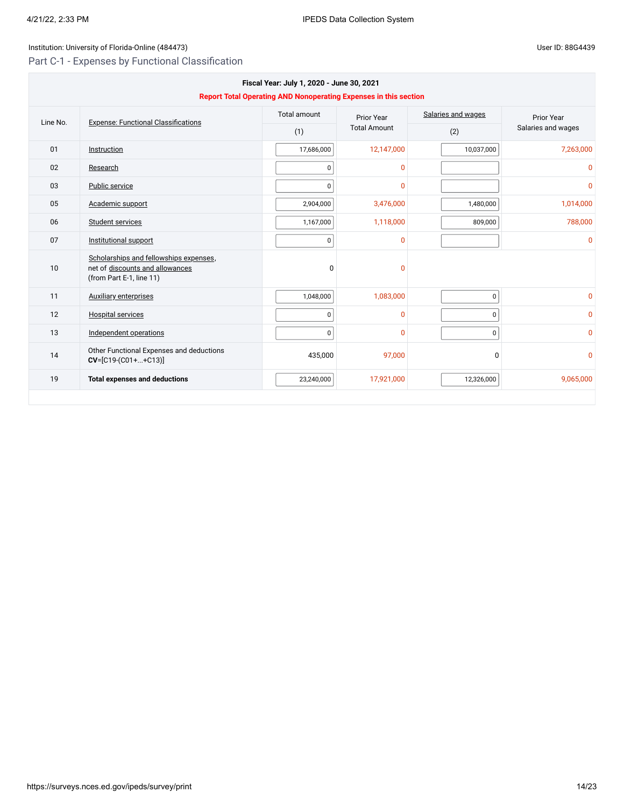# Institution: University of Florida-Online (484473) Channel Assembly District in the User ID: 88G4439

Part C-1 - Expenses by Functional Classification

| Fiscal Year: July 1, 2020 - June 30, 2021<br><b>Report Total Operating AND Nonoperating Expenses in this section</b> |                                                                                                       |                     |                     |                    |                    |
|----------------------------------------------------------------------------------------------------------------------|-------------------------------------------------------------------------------------------------------|---------------------|---------------------|--------------------|--------------------|
| Line No.                                                                                                             | <b>Expense: Functional Classifications</b>                                                            | <b>Total amount</b> | Prior Year          | Salaries and wages | <b>Prior Year</b>  |
|                                                                                                                      |                                                                                                       | (1)                 | <b>Total Amount</b> | (2)                | Salaries and wages |
| 01                                                                                                                   | Instruction                                                                                           | 17,686,000          | 12,147,000          | 10,037,000         | 7,263,000          |
| 02                                                                                                                   | Research                                                                                              | 0                   | $\mathbf 0$         |                    | $\Omega$           |
| 03                                                                                                                   | Public service                                                                                        | 0                   | $\mathbf{0}$        |                    | $\mathbf{0}$       |
| 05                                                                                                                   | Academic support                                                                                      | 2,904,000           | 3,476,000           | 1,480,000          | 1,014,000          |
| 06                                                                                                                   | Student services                                                                                      | 1,167,000           | 1,118,000           | 809,000            | 788,000            |
| 07                                                                                                                   | Institutional support                                                                                 | 0                   | $\Omega$            |                    | $\Omega$           |
| 10                                                                                                                   | Scholarships and fellowships expenses,<br>net of discounts and allowances<br>(from Part E-1, line 11) | $\Omega$            | $\Omega$            |                    |                    |
| 11                                                                                                                   | <b>Auxiliary enterprises</b>                                                                          | 1,048,000           | 1,083,000           | $\mathbf 0$        | $\mathbf{0}$       |
| 12                                                                                                                   | <b>Hospital services</b>                                                                              | $\pmb{0}$           | $\mathbf{0}$        | 0                  | $\mathbf{0}$       |
| 13                                                                                                                   | Independent operations                                                                                | $\pmb{0}$           | $\Omega$            | 0                  | $\Omega$           |
| 14                                                                                                                   | Other Functional Expenses and deductions<br>$CV=[C19-(C01++C13)]$                                     | 435,000             | 97,000              | 0                  | $\mathbf{0}$       |
| 19                                                                                                                   | <b>Total expenses and deductions</b>                                                                  | 23,240,000          | 17,921,000          | 12,326,000         | 9,065,000          |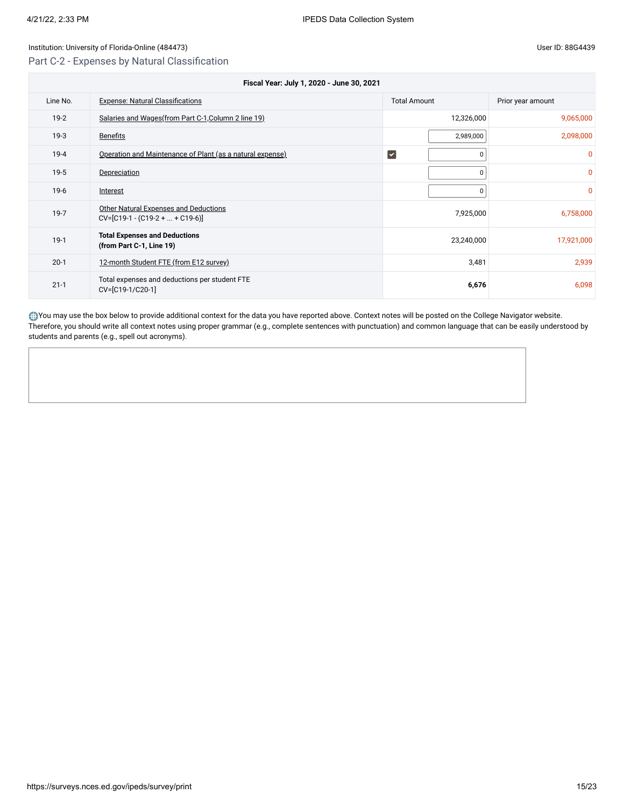Part C-2 - Expenses by Natural Classification

| Fiscal Year: July 1, 2020 - June 30, 2021 |                                                                             |                             |                   |  |
|-------------------------------------------|-----------------------------------------------------------------------------|-----------------------------|-------------------|--|
| Line No.                                  | <b>Expense: Natural Classifications</b>                                     | <b>Total Amount</b>         | Prior year amount |  |
| $19-2$                                    | Salaries and Wages (from Part C-1, Column 2 line 19)                        | 12,326,000                  | 9,065,000         |  |
| $19-3$                                    | <b>Benefits</b>                                                             | 2,989,000                   | 2,098,000         |  |
| $19 - 4$                                  | Operation and Maintenance of Plant (as a natural expense)                   | $\vert\checkmark\vert$<br>0 | 0                 |  |
| $19-5$                                    | Depreciation                                                                | 0                           | 0                 |  |
| $19-6$                                    | Interest                                                                    | 0                           | $\Omega$          |  |
| $19-7$                                    | <b>Other Natural Expenses and Deductions</b><br>$CV=[C19-1-(C19-2++C19-6)]$ | 7,925,000                   | 6,758,000         |  |
| $19-1$                                    | <b>Total Expenses and Deductions</b><br>(from Part C-1, Line 19)            | 23,240,000                  | 17,921,000        |  |
| $20-1$                                    | 12-month Student FTE (from E12 survey)                                      | 3,481                       | 2,939             |  |
| $21 - 1$                                  | Total expenses and deductions per student FTE<br>CV=[C19-1/C20-1]           | 6,676                       | 6,098             |  |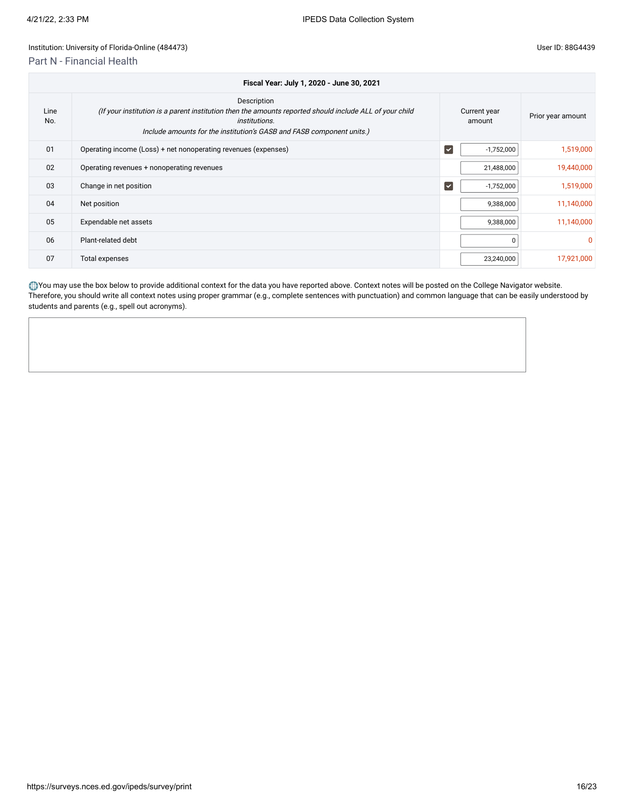# Institution: University of Florida-Online (484473)

# Part N - Financial Health

|  | User ID: 88G4439 |
|--|------------------|
|--|------------------|

|             | Fiscal Year: July 1, 2020 - June 30, 2021                                                                                                                                                                               |                                 |                        |                   |  |  |
|-------------|-------------------------------------------------------------------------------------------------------------------------------------------------------------------------------------------------------------------------|---------------------------------|------------------------|-------------------|--|--|
| Line<br>No. | Description<br>(If your institution is a parent institution then the amounts reported should include ALL of your child<br><i>institutions.</i><br>Include amounts for the institution's GASB and FASB component units.) |                                 | Current year<br>amount | Prior year amount |  |  |
| 01          | Operating income (Loss) + net nonoperating revenues (expenses)                                                                                                                                                          | $\overline{\blacktriangledown}$ | $-1,752,000$           | 1,519,000         |  |  |
| 02          | Operating revenues + nonoperating revenues                                                                                                                                                                              |                                 | 21,488,000             | 19,440,000        |  |  |
| 03          | Change in net position                                                                                                                                                                                                  | $\overline{\mathbf{v}}$         | $-1,752,000$           | 1,519,000         |  |  |
| 04          | Net position                                                                                                                                                                                                            |                                 | 9,388,000              | 11,140,000        |  |  |
| 05          | Expendable net assets                                                                                                                                                                                                   |                                 | 9,388,000              | 11,140,000        |  |  |
| 06          | Plant-related debt                                                                                                                                                                                                      |                                 |                        | 0                 |  |  |
| 07          | Total expenses                                                                                                                                                                                                          |                                 | 23,240,000             | 17,921,000        |  |  |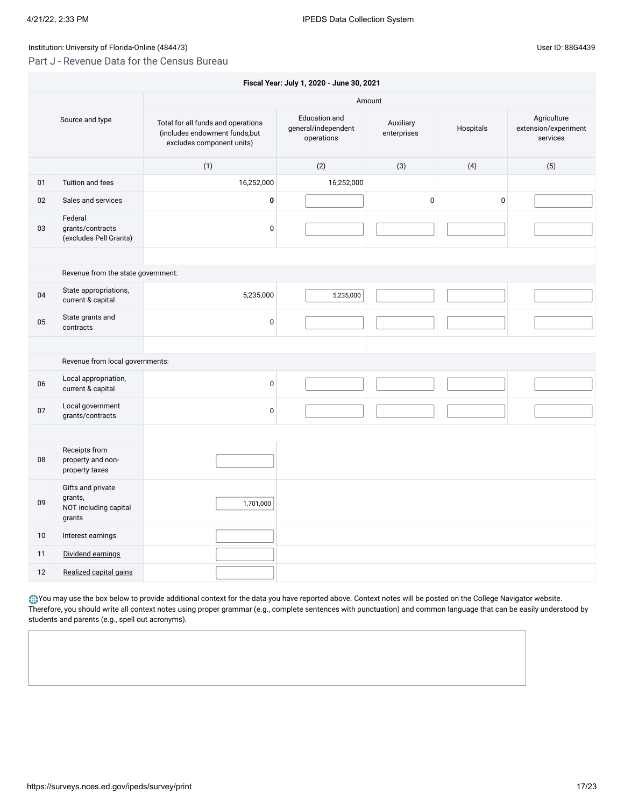# Part J - Revenue Data for the Census Bureau

|    | Fiscal Year: July 1, 2020 - June 30, 2021                       |                                                                                                   |                                                    |                          |           |                                                 |  |  |
|----|-----------------------------------------------------------------|---------------------------------------------------------------------------------------------------|----------------------------------------------------|--------------------------|-----------|-------------------------------------------------|--|--|
|    | Amount                                                          |                                                                                                   |                                                    |                          |           |                                                 |  |  |
|    | Source and type                                                 | Total for all funds and operations<br>(includes endowment funds, but<br>excludes component units) | Education and<br>general/independent<br>operations | Auxiliary<br>enterprises | Hospitals | Agriculture<br>extension/experiment<br>services |  |  |
|    |                                                                 | (1)                                                                                               | (2)                                                | (3)                      | (4)       | (5)                                             |  |  |
| 01 | Tuition and fees                                                | 16,252,000                                                                                        | 16,252,000                                         |                          |           |                                                 |  |  |
| 02 | Sales and services                                              | $\pmb{0}$                                                                                         |                                                    | 0                        | $\pmb{0}$ |                                                 |  |  |
| 03 | Federal<br>grants/contracts<br>(excludes Pell Grants)           | $\pmb{0}$                                                                                         |                                                    |                          |           |                                                 |  |  |
|    |                                                                 |                                                                                                   |                                                    |                          |           |                                                 |  |  |
|    | Revenue from the state government:                              |                                                                                                   |                                                    |                          |           |                                                 |  |  |
| 04 | State appropriations,<br>current & capital                      | 5,235,000                                                                                         | 5,235,000                                          |                          |           |                                                 |  |  |
| 05 | State grants and<br>contracts                                   | $\pmb{0}$                                                                                         |                                                    |                          |           |                                                 |  |  |
|    |                                                                 |                                                                                                   |                                                    |                          |           |                                                 |  |  |
|    | Revenue from local governments:                                 |                                                                                                   |                                                    |                          |           |                                                 |  |  |
| 06 | Local appropriation,<br>current & capital                       | $\mathbf 0$                                                                                       |                                                    |                          |           |                                                 |  |  |
| 07 | Local government<br>grants/contracts                            | $\mathbf 0$                                                                                       |                                                    |                          |           |                                                 |  |  |
|    |                                                                 |                                                                                                   |                                                    |                          |           |                                                 |  |  |
| 08 | Receipts from<br>property and non-<br>property taxes            |                                                                                                   |                                                    |                          |           |                                                 |  |  |
| 09 | Gifts and private<br>grants,<br>NOT including capital<br>grants | 1,701,000                                                                                         |                                                    |                          |           |                                                 |  |  |
| 10 | Interest earnings                                               |                                                                                                   |                                                    |                          |           |                                                 |  |  |
| 11 | Dividend earnings                                               |                                                                                                   |                                                    |                          |           |                                                 |  |  |
| 12 | Realized capital gains                                          |                                                                                                   |                                                    |                          |           |                                                 |  |  |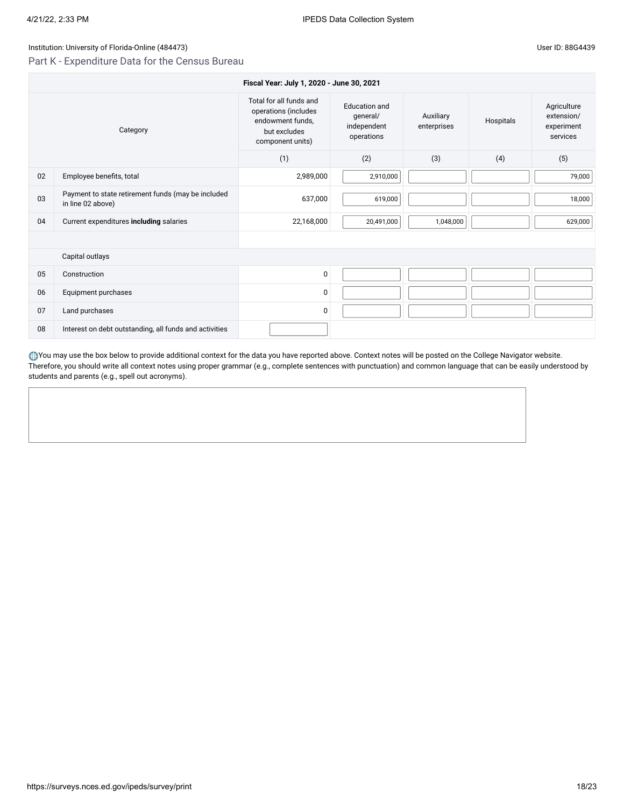# Part K - Expenditure Data for the Census Bureau

07 Land purchases 0

08 Interest on debt outstanding, all funds and activities

|    |                                                                         | Fiscal Year: July 1, 2020 - June 30, 2021                                                               |                                                               |                          |           |                                                     |
|----|-------------------------------------------------------------------------|---------------------------------------------------------------------------------------------------------|---------------------------------------------------------------|--------------------------|-----------|-----------------------------------------------------|
|    | Category                                                                | Total for all funds and<br>operations (includes<br>endowment funds,<br>but excludes<br>component units) | <b>Education and</b><br>general/<br>independent<br>operations | Auxiliary<br>enterprises | Hospitals | Agriculture<br>extension/<br>experiment<br>services |
|    |                                                                         | (1)                                                                                                     | (2)                                                           | (3)                      | (4)       | (5)                                                 |
| 02 | Employee benefits, total                                                | 2,989,000                                                                                               | 2,910,000                                                     |                          |           | 79,000                                              |
| 03 | Payment to state retirement funds (may be included<br>in line 02 above) | 637,000                                                                                                 | 619,000                                                       |                          |           | 18,000                                              |
| 04 | Current expenditures including salaries                                 | 22,168,000                                                                                              | 20,491,000                                                    | 1,048,000                |           | 629,000                                             |
|    |                                                                         |                                                                                                         |                                                               |                          |           |                                                     |
|    | Capital outlays                                                         |                                                                                                         |                                                               |                          |           |                                                     |
| 05 | Construction                                                            | 0                                                                                                       |                                                               |                          |           |                                                     |
| 06 | Equipment purchases                                                     | 0                                                                                                       |                                                               |                          |           |                                                     |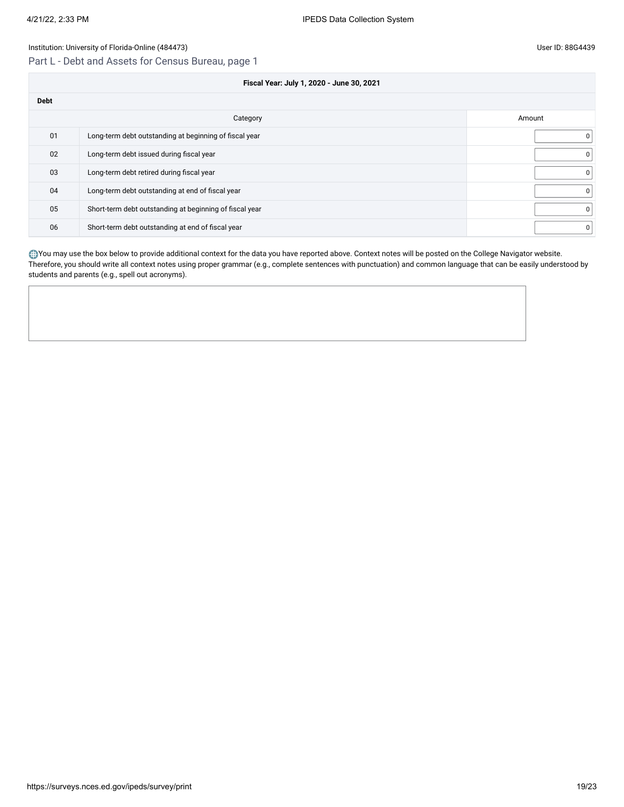# Part L - Debt and Assets for Census Bureau, page 1

**Fiscal Year: July 1, 2020 - June 30, 2021**

| <b>Debt</b> |                                                         |          |
|-------------|---------------------------------------------------------|----------|
|             | Category                                                | Amount   |
| 01          | Long-term debt outstanding at beginning of fiscal year  | $\Omega$ |
| 02          | Long-term debt issued during fiscal year                | $\Omega$ |
| 03          | Long-term debt retired during fiscal year               | $\Omega$ |
| 04          | Long-term debt outstanding at end of fiscal year        | 0        |
| 05          | Short-term debt outstanding at beginning of fiscal year | $\Omega$ |
| 06          | Short-term debt outstanding at end of fiscal year       | 0        |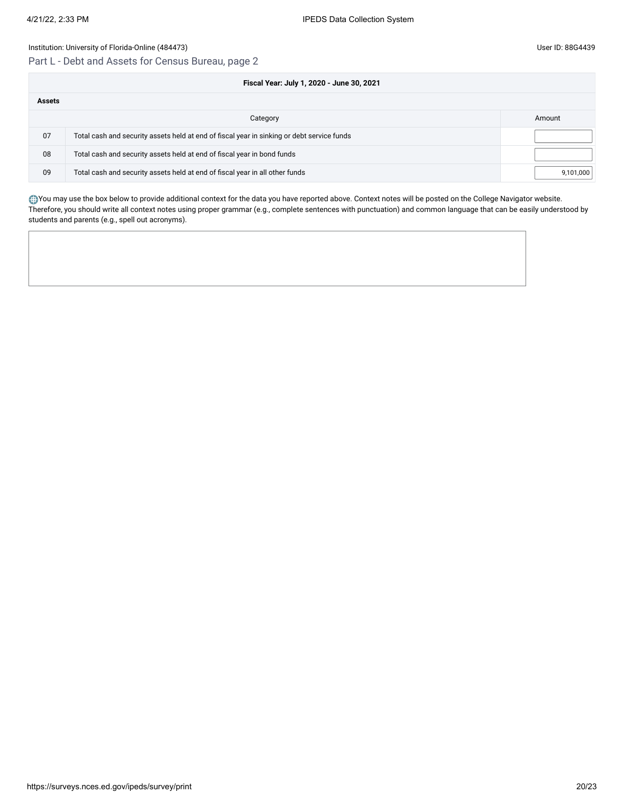# Part L - Debt and Assets for Census Bureau, page 2

|               | Fiscal Year: July 1, 2020 - June 30, 2021                                                  |           |
|---------------|--------------------------------------------------------------------------------------------|-----------|
| <b>Assets</b> |                                                                                            |           |
|               | Category                                                                                   | Amount    |
| 07            | Total cash and security assets held at end of fiscal year in sinking or debt service funds |           |
| 08            | Total cash and security assets held at end of fiscal year in bond funds                    |           |
| 09            | Total cash and security assets held at end of fiscal year in all other funds               | 9,101,000 |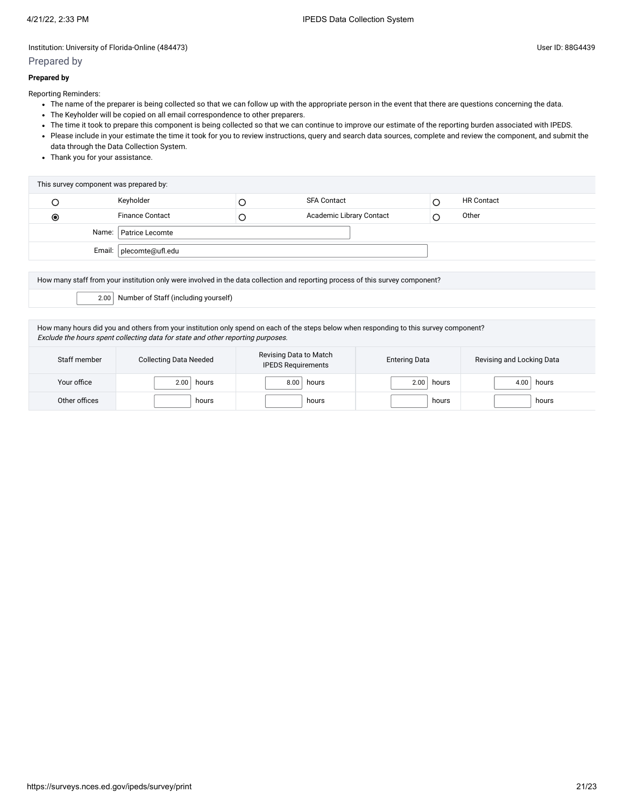## Prepared by

Reporting Reminders:

- The name of the preparer is being collected so that we can follow up with the appropriate person in the event that there are questions concerning the data.
- The Keyholder will be copied on all email correspondence to other preparers.
- The time it took to prepare this component is being collected so that we can continue to improve our estimate of the reporting burden associated with IPEDS.
- Please include in your estimate the time it took for you to review instructions, query and search data sources, complete and review the component, and submit the data through the Data Collection System.
- Thank you for your assistance.

| Keyholder<br><b>HR Contact</b><br><b>SFA Contact</b><br><b>Finance Contact</b><br>Academic Library Contact<br>Other<br>$\bullet$<br>Name:   Patrice Lecomte | This survey component was prepared by: |  |  |
|-------------------------------------------------------------------------------------------------------------------------------------------------------------|----------------------------------------|--|--|
|                                                                                                                                                             |                                        |  |  |
|                                                                                                                                                             |                                        |  |  |
|                                                                                                                                                             |                                        |  |  |
|                                                                                                                                                             | Email:   plecomte@ufl.edu              |  |  |

How many staff from your institution only were involved in the data collection and reporting process of this survey component?

2.00 Number of Staff (including yourself)

How many hours did you and others from your institution only spend on each of the steps below when responding to this survey component? Exclude the hours spent collecting data for state and other reporting purposes.

| Staff member  | <b>Collecting Data Needed</b> | Revising Data to Match<br><b>IPEDS Requirements</b> | <b>Entering Data</b> | Revising and Locking Data |
|---------------|-------------------------------|-----------------------------------------------------|----------------------|---------------------------|
| Your office   | 2.00<br>hours                 | 8.00<br>hours                                       | hours<br>2.00        | hours<br>4.00             |
| Other offices | hours                         | hours                                               | hours                | hours                     |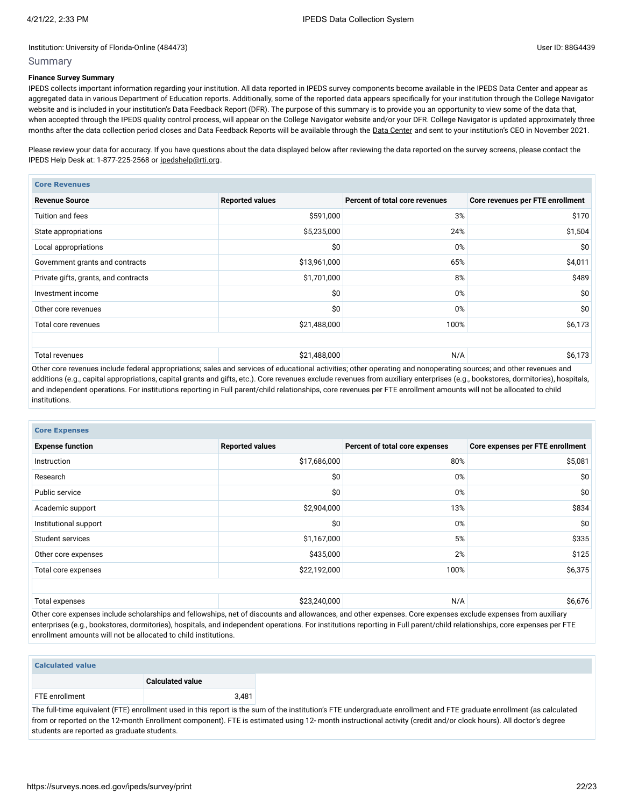## Summary

# **Finance Survey Summary**

IPEDS collects important information regarding your institution. All data reported in IPEDS survey components become available in the IPEDS Data Center and appear as aggregated data in various Department of Education reports. Additionally, some of the reported data appears specifically for your institution through the College Navigator website and is included in your institution's Data Feedback Report (DFR). The purpose of this summary is to provide you an opportunity to view some of the data that, when accepted through the IPEDS quality control process, will appear on the College Navigator website and/or your DFR. College Navigator is updated approximately three months after the data collection period closes and Data Feedback Reports will be available through the Data [Center](https://nces.ed.gov/ipeds/use-the-data) and sent to your institution's CEO in November 2021.

Please review your data for accuracy. If you have questions about the data displayed below after reviewing the data reported on the survey screens, please contact the IPEDS Help Desk at: 1-877-225-2568 or [ipedshelp@rti.org.](mailto:ipedshelp@rti.org)

| <b>Core Revenues</b>                 |                        |                                |                                  |
|--------------------------------------|------------------------|--------------------------------|----------------------------------|
| <b>Revenue Source</b>                | <b>Reported values</b> | Percent of total core revenues | Core revenues per FTE enrollment |
| Tuition and fees                     | \$591,000              | 3%                             | \$170                            |
| State appropriations                 | \$5,235,000            | 24%                            | \$1,504                          |
| Local appropriations                 | \$0                    | 0%                             | \$0                              |
| Government grants and contracts      | \$13,961,000           | 65%                            | \$4,011                          |
| Private gifts, grants, and contracts | \$1,701,000            | 8%                             | \$489                            |
| Investment income                    | \$0                    | 0%                             | \$0                              |
| Other core revenues                  | \$0                    | 0%                             | \$0                              |
| Total core revenues                  | \$21,488,000           | 100%                           | \$6,173                          |
|                                      |                        |                                |                                  |
| <b>Total revenues</b>                | \$21,488,000           | N/A                            | \$6,173                          |

Other core revenues include federal appropriations; sales and services of educational activities; other operating and nonoperating sources; and other revenues and additions (e.g., capital appropriations, capital grants and gifts, etc.). Core revenues exclude revenues from auxiliary enterprises (e.g., bookstores, dormitories), hospitals, and independent operations. For institutions reporting in Full parent/child relationships, core revenues per FTE enrollment amounts will not be allocated to child institutions.

| <b>Core Expenses</b>    |                        |                                |                                  |
|-------------------------|------------------------|--------------------------------|----------------------------------|
| <b>Expense function</b> | <b>Reported values</b> | Percent of total core expenses | Core expenses per FTE enrollment |
| Instruction             | \$17,686,000           | 80%                            | \$5,081                          |
| Research                | \$0                    | 0%                             | \$0                              |
| Public service          | \$0                    | 0%                             | \$0                              |
| Academic support        | \$2,904,000            | 13%                            | \$834                            |
| Institutional support   | \$0                    | 0%                             | \$0                              |
| Student services        | \$1,167,000            | 5%                             | \$335                            |
| Other core expenses     | \$435,000              | 2%                             | \$125                            |
| Total core expenses     | \$22,192,000           | 100%                           | \$6,375                          |
|                         |                        |                                |                                  |
| Total expenses          | \$23,240,000           | N/A                            | \$6,676                          |

Other core expenses include scholarships and fellowships, net of discounts and allowances, and other expenses. Core expenses exclude expenses from auxiliary enterprises (e.g., bookstores, dormitories), hospitals, and independent operations. For institutions reporting in Full parent/child relationships, core expenses per FTE enrollment amounts will not be allocated to child institutions.

| <b>Calculated value</b>        |  |  |  |  |
|--------------------------------|--|--|--|--|
| <b>Calculated value</b>        |  |  |  |  |
| 3,481<br><b>FTE</b> enrollment |  |  |  |  |

The full-time equivalent (FTE) enrollment used in this report is the sum of the institution's FTE undergraduate enrollment and FTE graduate enrollment (as calculated from or reported on the 12-month Enrollment component). FTE is estimated using 12- month instructional activity (credit and/or clock hours). All doctor's degree students are reported as graduate students.